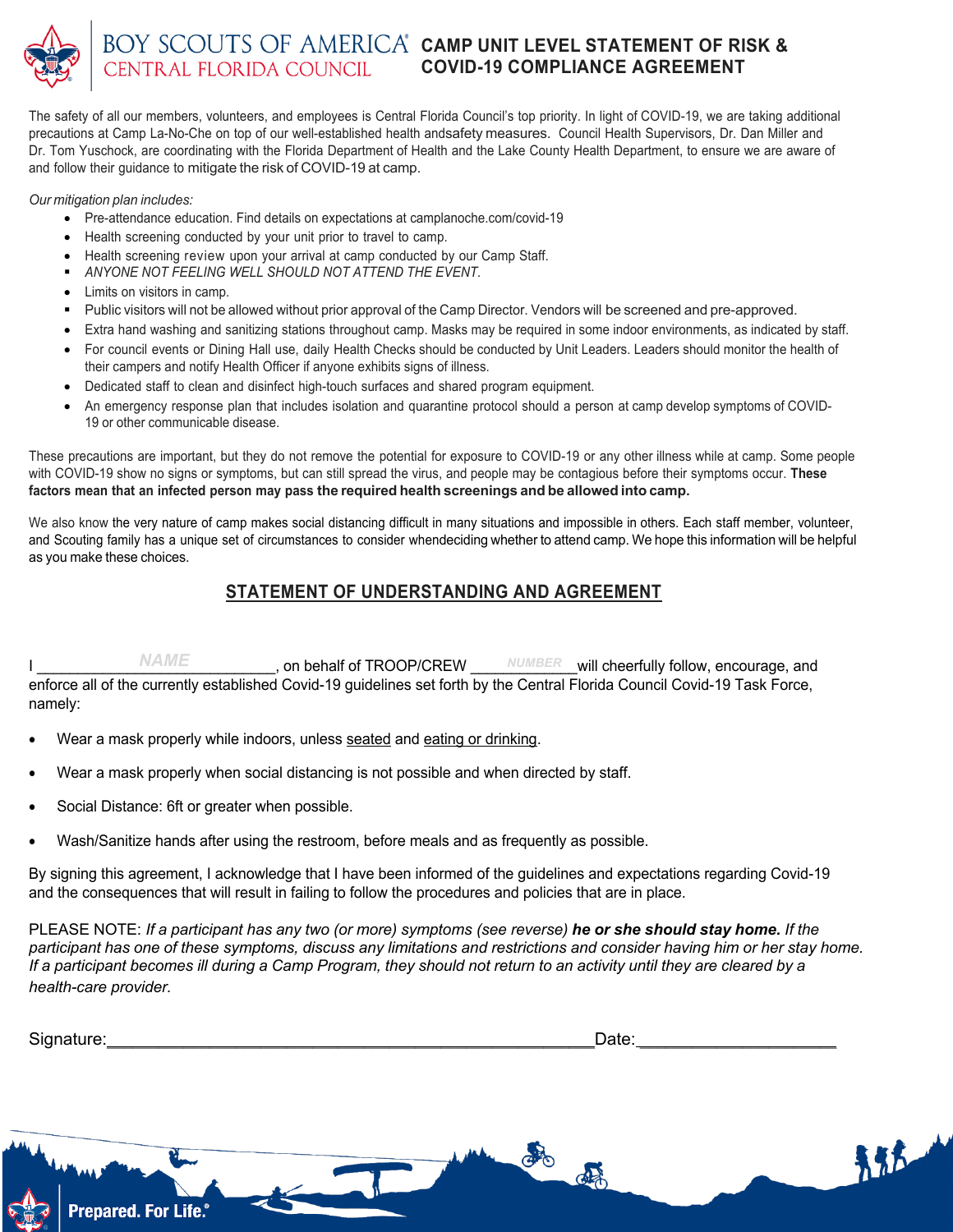

## **CAMP UNIT LEVEL STATEMENT OF RISK & COVID-19 COMPLIANCE AGREEMENT**

The safety of all our members, volunteers, and employees is Central Florida Council's top priority. In light of COVID-19, we are taking additional precautions at Camp La-No-Che on top of our well-established health andsafety measures. Council Health Supervisors, Dr. Dan Miller and Dr. Tom Yuschock, are coordinating with the Florida Department of Health and the Lake County Health Department, to ensure we are aware of and follow their guidance to mitigate the risk of COVID-19 at camp.

## *Our mitigation plan includes:*

- Pre-attendance education. Find details on expectations at camplanoche.com/covid-19
- Health screening conducted by your unit prior to travel to camp.
- Health screening review upon your arrival at camp conducted by our Camp Staff.
- § *ANYONE NOT FEELING WELL SHOULD NOT ATTEND THE EVENT.*
- Limits on visitors in camp.
- Public visitors will not be allowed without prior approval of the Camp Director. Vendors will be screened and pre-approved.
- Extra hand washing and sanitizing stations throughout camp. Masks may be required in some indoor environments, as indicated by staff.
- For council events or Dining Hall use, daily Health Checks should be conducted by Unit Leaders. Leaders should monitor the health of their campers and notify Health Officer if anyone exhibits signs of illness.
- Dedicated staff to clean and disinfect high-touch surfaces and shared program equipment.
- An emergency response plan that includes isolation and quarantine protocol should a person at camp develop symptoms of COVID-19 or other communicable disease.

These precautions are important, but they do not remove the potential for exposure to COVID-19 or any other illness while at camp. Some people with COVID-19 show no signs or symptoms, but can still spread the virus, and people may be contagious before their symptoms occur. **These factors mean that an infected person may pass the required health screenings and be allowed into camp.**

We also know the very nature of camp makes social distancing difficult in many situations and impossible in others. Each staff member, volunteer, and Scouting family has a unique set of circumstances to consider whendeciding whether to attend camp. We hope this information will be helpful as you make these choices.

## **STATEMENT OF UNDERSTANDING AND AGREEMENT**

 $NAME$ , on behalf of TROOP/CREW  $NUMBER$  will cheerfully follow, encourage, and enforce all of the currently established Covid-19 guidelines set forth by the Central Florida Council Covid-19 Task Force, namely: on behalf of TROOP/CREW

- Wear a mask properly while indoors, unless seated and eating or drinking.
- Wear a mask properly when social distancing is not possible and when directed by staff.
- Social Distance: 6ft or greater when possible.
- Wash/Sanitize hands after using the restroom, before meals and as frequently as possible.

By signing this agreement, I acknowledge that I have been informed of the guidelines and expectations regarding Covid-19 and the consequences that will result in failing to follow the procedures and policies that are in place.

PLEASE NOTE: If a participant has any two (or more) symptoms (see reverse) he or she should stay home. If the participant has one of these symptoms, discuss any limitations and restrictions and consider having him or her stay home. If a participant becomes ill during a Camp Program, they should not return to an activity until they are cleared by a *health-care provider.*

| $\sim$<br>Signature:<br>$rac{1}{2}$<br>ా. | Date: |
|-------------------------------------------|-------|
|                                           |       |